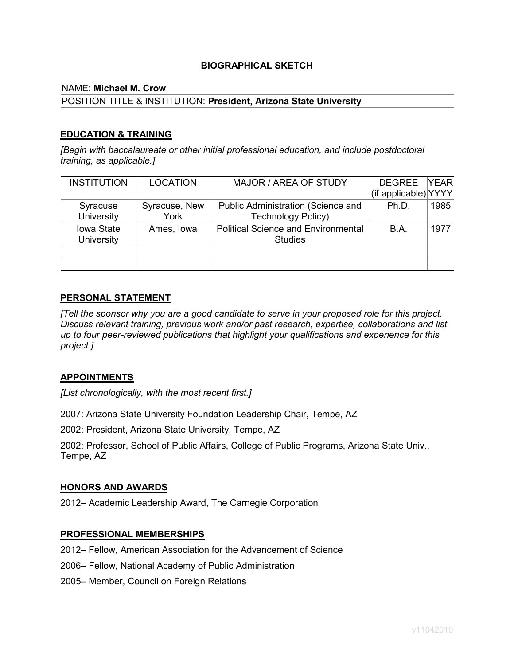## **BIOGRAPHICAL SKETCH**

## NAME: **Michael M. Crow**

#### POSITION TITLE & INSTITUTION: **President, Arizona State University**

## **EDUCATION & TRAINING**

*[Begin with baccalaureate or other initial professional education, and include postdoctoral training, as applicable.]*

| <b>INSTITUTION</b> | <b>LOCATION</b> | MAJOR / AREA OF STUDY                      | <b>DEGREE</b>        | <b>YEAR</b> |
|--------------------|-----------------|--------------------------------------------|----------------------|-------------|
|                    |                 |                                            | (if applicable) YYYY |             |
| Syracuse           | Syracuse, New   | Public Administration (Science and         | Ph.D.                | 1985        |
| <b>University</b>  | York            | <b>Technology Policy)</b>                  |                      |             |
| <b>lowa State</b>  | Ames, Iowa      | <b>Political Science and Environmental</b> | B.A.                 | 1977        |
| <b>University</b>  |                 | <b>Studies</b>                             |                      |             |
|                    |                 |                                            |                      |             |
|                    |                 |                                            |                      |             |

#### **PERSONAL STATEMENT**

*[Tell the sponsor why you are a good candidate to serve in your proposed role for this project. Discuss relevant training, previous work and/or past research, expertise, collaborations and list up to four peer-reviewed publications that highlight your qualifications and experience for this project.]*

#### **APPOINTMENTS**

*[List chronologically, with the most recent first.]*

2007: Arizona State University Foundation Leadership Chair, Tempe, AZ

2002: President, Arizona State University, Tempe, AZ

2002: Professor, School of Public Affairs, College of Public Programs, Arizona State Univ., Tempe, AZ

#### **HONORS AND AWARDS**

2012– Academic Leadership Award, The Carnegie Corporation

#### **PROFESSIONAL MEMBERSHIPS**

2012– Fellow, American Association for the Advancement of Science

- 2006– Fellow, National Academy of Public Administration
- 2005– Member, Council on Foreign Relations